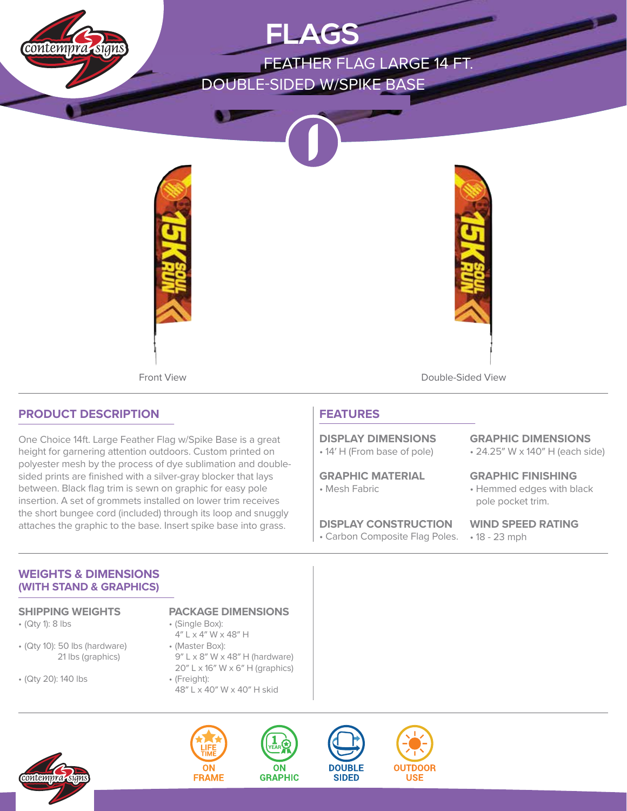

# **PRODUCT DESCRIPTION**

One Choice 14ft. Large Feather Flag w/Spike Base is a great height for garnering attention outdoors. Custom printed on polyester mesh by the process of dye sublimation and doublesided prints are finished with a silver-gray blocker that lays between. Black flag trim is sewn on graphic for easy pole insertion. A set of grommets installed on lower trim receives the short bungee cord (included) through its loop and snuggly attaches the graphic to the base. Insert spike base into grass.

# **FEATURES**

• 14′ H (From base of pole) **DISPLAY DIMENSIONS**

• Mesh Fabric **GRAPHIC MATERIAL**

• Carbon Composite Flag Poles. • 18 - 23 mph **DISPLAY CONSTRUCTION**

• 24.25″ W x 140″ H (each side) **GRAPHIC DIMENSIONS**

• Hemmed edges with black pole pocket trim. **GRAPHIC FINISHING**

**WIND SPEED RATING**

## **WEIGHTS & DIMENSIONS (WITH STAND & GRAPHICS)**

- (Qty 1): 8 lbs
- (Qty 10): 50 lbs (hardware) 21 lbs (graphics)
- (Qty 20): 140 lbs

### **SHIPPING WEIGHTS PACKAGE DIMENSIONS**

- (Single Box): 4″ L x 4″ W x 48″ H
- (Master Box): 9″ L x 8″ W x 48″ H (hardware) 20″ L x 16″ W x 6″ H (graphics)
- (Freight): 48″ L x 40″ W x 40″ H skid